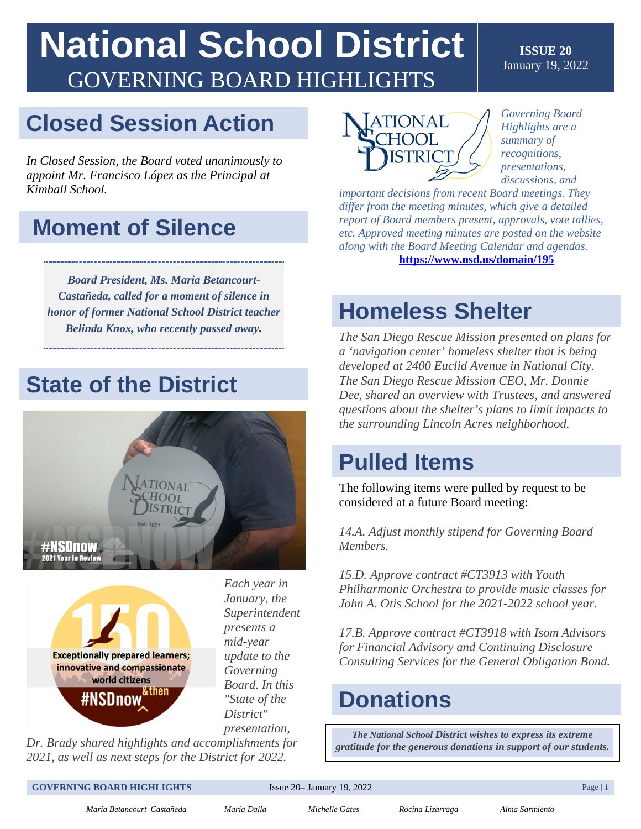# **National School District**  GOVERNING BOARD HIGHLIGHTS

### **Closed Session Action**

*In Closed Session, the Board voted unanimously to appoint Mr. Francisco López as the Principal at Kimball School.* 

### **Moment of Silence**

*Board President, Ms. Maria Betancourt-Castañeda, called for a moment of silence in honor of former National School District teacher Belinda Knox, who recently passed away.* 

### **State of the District**





*Each year in January, the Superintendent presents a mid-year update to the Governing Board. In this "State of the District" presentation,* 

*Dr. Brady shared highlights and accomplishments for 2021, as well as next steps for the District for 2022.* 



*Governing Board Highlights are a summary of recognitions, presentations, discussions, and* 

**ISSUE 20**  January 19, 2022

 *differ from the meeting minutes, which give a detailed important decisions from recent Board meetings. They report of Board members present, approvals, vote tallies, etc. Approved meeting minutes are posted on the website along with the Board Meeting Calendar and agendas.*  **<https://www.nsd.us/domain/195>**

### **Homeless Shelter**

*The San Diego Rescue Mission presented on plans for a 'navigation center' homeless shelter that is being developed at 2400 Euclid Avenue in National City. The San Diego Rescue Mission CEO, Mr. Donnie Dee, shared an overview with Trustees, and answered questions about the shelter's plans to limit impacts to the surrounding Lincoln Acres neighborhood.* 

### **Pulled Items**

The following items were pulled by request to be considered at a future Board meeting:

*14.A. Adjust monthly stipend for Governing Board Members.*

 *Philharmonic Orchestra to provide music classes for 15.D. Approve contract #CT3913 with Youth John A. Otis School for the 2021-2022 school year.*

*17.B. Approve contract #CT3918 with Isom Advisors for Financial Advisory and Continuing Disclosure Consulting Services for the General Obligation Bond.*

### **Donations**

*The National School District wishes to express its extreme gratitude for the generous donations in support of our students.* 

#### **GOVERNING BOARD HIGHLIGHTS** Issue 20– January 19, 2022 Page 11